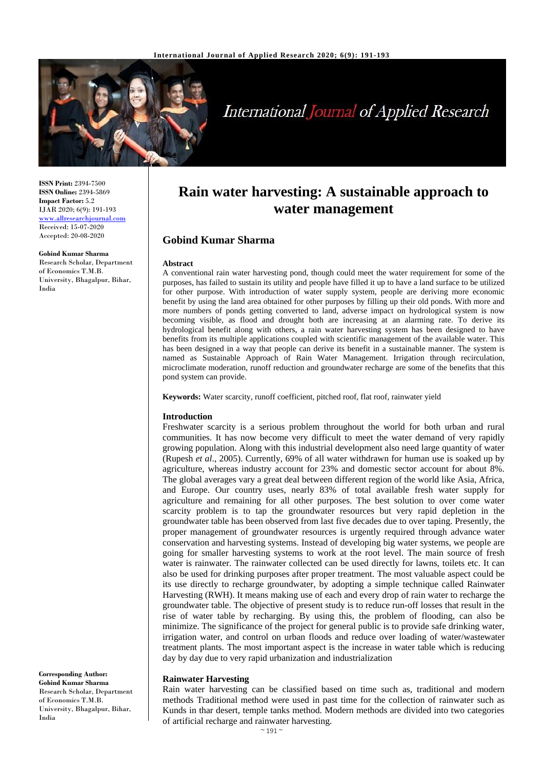

# **International Journal of Applied Research**

**ISSN Print:** 2394-7500 **ISSN Online:** 2394-5869 **Impact Factor:** 5.2 IJAR 2020; 6(9): 191-193 <www.allresearchjournal.com> Received: 15-07-2020 Accepted: 20-08-2020

**Gobind Kumar Sharma** Research Scholar, Department

of Economics T.M.B. University, Bhagalpur, Bihar, India

**Rain water harvesting: A sustainable approach to water management**

## **Gobind Kumar Sharma**

#### **Abstract**

A conventional rain water harvesting pond, though could meet the water requirement for some of the purposes, has failed to sustain its utility and people have filled it up to have a land surface to be utilized for other purpose. With introduction of water supply system, people are deriving more economic benefit by using the land area obtained for other purposes by filling up their old ponds. With more and more numbers of ponds getting converted to land, adverse impact on hydrological system is now becoming visible, as flood and drought both are increasing at an alarming rate. To derive its hydrological benefit along with others, a rain water harvesting system has been designed to have benefits from its multiple applications coupled with scientific management of the available water. This has been designed in a way that people can derive its benefit in a sustainable manner. The system is named as Sustainable Approach of Rain Water Management. Irrigation through recirculation, microclimate moderation, runoff reduction and groundwater recharge are some of the benefits that this pond system can provide.

**Keywords:** Water scarcity, runoff coefficient, pitched roof, flat roof, rainwater yield

#### **Introduction**

Freshwater scarcity is a serious problem throughout the world for both urban and rural communities. It has now become very difficult to meet the water demand of very rapidly growing population. Along with this industrial development also need large quantity of water (Rupesh *et al*., 2005). Currently, 69% of all water withdrawn for human use is soaked up by agriculture, whereas industry account for 23% and domestic sector account for about 8%. The global averages vary a great deal between different region of the world like Asia, Africa, and Europe. Our country uses, nearly 83% of total available fresh water supply for agriculture and remaining for all other purposes. The best solution to over come water scarcity problem is to tap the groundwater resources but very rapid depletion in the groundwater table has been observed from last five decades due to over taping. Presently, the proper management of groundwater resources is urgently required through advance water conservation and harvesting systems. Instead of developing big water systems, we people are going for smaller harvesting systems to work at the root level. The main source of fresh water is rainwater. The rainwater collected can be used directly for lawns, toilets etc. It can also be used for drinking purposes after proper treatment. The most valuable aspect could be its use directly to recharge groundwater, by adopting a simple technique called Rainwater Harvesting (RWH). It means making use of each and every drop of rain water to recharge the groundwater table. The objective of present study is to reduce run-off losses that result in the rise of water table by recharging. By using this, the problem of flooding, can also be minimize. The significance of the project for general public is to provide safe drinking water, irrigation water, and control on urban floods and reduce over loading of water/wastewater treatment plants. The most important aspect is the increase in water table which is reducing day by day due to very rapid urbanization and industrialization

#### **Rainwater Harvesting**

Rain water harvesting can be classified based on time such as, traditional and modern methods Traditional method were used in past time for the collection of rainwater such as Kunds in thar desert, temple tanks method. Modern methods are divided into two categories of artificial recharge and rainwater harvesting.

**Corresponding Author:**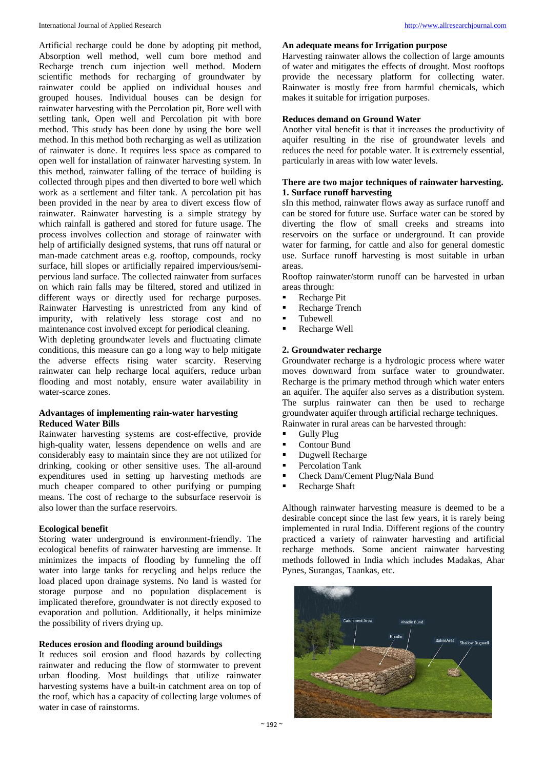Artificial recharge could be done by adopting pit method, Absorption well method, well cum bore method and Recharge trench cum injection well method. Modern scientific methods for recharging of groundwater by rainwater could be applied on individual houses and grouped houses. Individual houses can be design for rainwater harvesting with the Percolation pit, Bore well with settling tank, Open well and Percolation pit with bore method. This study has been done by using the bore well method. In this method both recharging as well as utilization of rainwater is done. It requires less space as compared to open well for installation of rainwater harvesting system. In this method, rainwater falling of the terrace of building is collected through pipes and then diverted to bore well which work as a settlement and filter tank. A percolation pit has been provided in the near by area to divert excess flow of rainwater. Rainwater harvesting is a simple strategy by which rainfall is gathered and stored for future usage. The process involves collection and storage of rainwater with help of artificially designed systems, that runs off natural or man-made catchment areas e.g. rooftop, compounds, rocky surface, hill slopes or artificially repaired impervious/semipervious land surface. The collected rainwater from surfaces on which rain falls may be filtered, stored and utilized in different ways or directly used for recharge purposes. Rainwater Harvesting is unrestricted from any kind of impurity, with relatively less storage cost and no maintenance cost involved except for periodical cleaning.

With depleting groundwater levels and fluctuating climate conditions, this measure can go a long way to help mitigate the adverse effects rising water scarcity. Reserving rainwater can help recharge local aquifers, reduce urban flooding and most notably, ensure water availability in water-scarce zones.

## **Advantages of implementing rain-water harvesting Reduced Water Bills**

Rainwater harvesting systems are cost-effective, provide high-quality water, lessens dependence on wells and are considerably easy to maintain since they are not utilized for drinking, cooking or other sensitive uses. The all-around expenditures used in setting up harvesting methods are much cheaper compared to other purifying or pumping means. The cost of recharge to the subsurface reservoir is also lower than the surface reservoirs.

### **Ecological benefit**

Storing water underground is environment-friendly. The ecological benefits of rainwater harvesting are immense. It minimizes the impacts of flooding by funneling the off water into large tanks for recycling and helps reduce the load placed upon drainage systems. No land is wasted for storage purpose and no population displacement is implicated therefore, groundwater is not directly exposed to evaporation and pollution. Additionally, it helps minimize the possibility of rivers drying up.

#### **Reduces erosion and flooding around buildings**

It reduces soil erosion and flood hazards by collecting rainwater and reducing the flow of stormwater to prevent urban flooding. Most buildings that utilize rainwater harvesting systems have a built-in catchment area on top of the roof, which has a capacity of collecting large volumes of water in case of rainstorms.

## **An adequate means for Irrigation purpose**

Harvesting rainwater allows the collection of large amounts of water and mitigates the effects of drought. Most rooftops provide the necessary platform for collecting water. Rainwater is mostly free from harmful chemicals, which makes it suitable for irrigation purposes.

## **Reduces demand on Ground Water**

Another vital benefit is that it increases the productivity of aquifer resulting in the rise of groundwater levels and reduces the need for potable water. It is extremely essential, particularly in areas with low water levels.

### **There are two major techniques of rainwater harvesting. 1. Surface runoff harvesting**

sIn this method, rainwater flows away as surface runoff and can be stored for future use. Surface water can be stored by diverting the flow of small creeks and streams into reservoirs on the surface or underground. It can provide water for farming, for cattle and also for general domestic use. Surface runoff harvesting is most suitable in urban areas.

Rooftop rainwater/storm runoff can be harvested in urban areas through:

- Recharge Pit
- Recharge Trench
- **Tubewell**
- Recharge Well

### **2. Groundwater recharge**

Groundwater recharge is a hydrologic process where water moves downward from surface water to groundwater. Recharge is the primary method through which water enters an aquifer. The aquifer also serves as a distribution system. The surplus rainwater can then be used to recharge groundwater aquifer through artificial recharge techniques. Rainwater in rural areas can be harvested through:

- Gully Plug
- Contour Bund
- $\blacksquare$  Dugwell Recharge
- Percolation Tank
- Check Dam/Cement Plug/Nala Bund
- Recharge Shaft

Although rainwater harvesting measure is deemed to be a desirable concept since the last few years, it is rarely being implemented in rural India. Different regions of the country practiced a variety of rainwater harvesting and artificial recharge methods. Some ancient rainwater harvesting methods followed in India which includes Madakas, Ahar Pynes, Surangas, Taankas, etc.